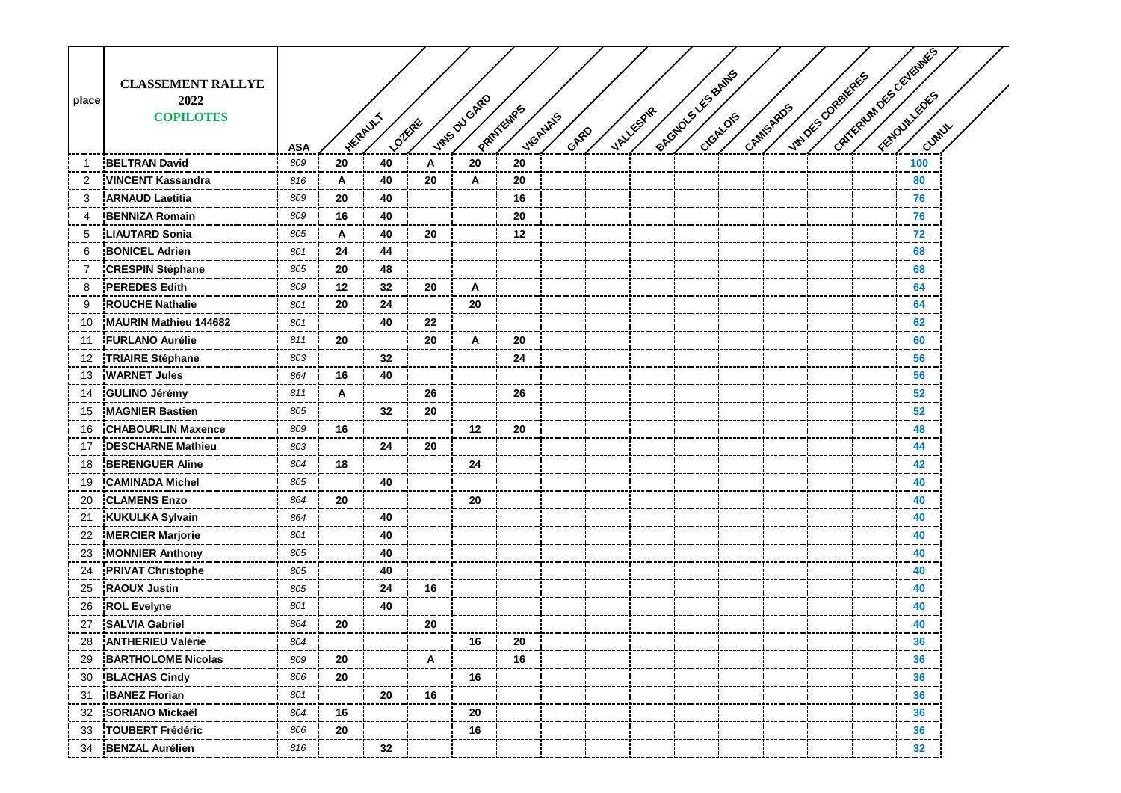|                |                              |            |    |                          |    |               |           |                  |                  | Pacquous Lise Bantis |          |           |                  | CATYCRUM DES CEVERINES |        |  |
|----------------|------------------------------|------------|----|--------------------------|----|---------------|-----------|------------------|------------------|----------------------|----------|-----------|------------------|------------------------|--------|--|
|                | <b>CLASSEMENT RALLYE</b>     |            |    |                          |    |               |           |                  |                  |                      |          |           |                  |                        |        |  |
| place          | 2022                         |            |    |                          |    |               |           |                  |                  |                      |          |           |                  |                        |        |  |
|                | <b>COPILOTES</b>             |            |    |                          |    |               |           |                  |                  |                      |          |           |                  |                        |        |  |
|                |                              | <b>ASA</b> |    | <b>HERAULT</b><br>Loikee |    | intes ou GARD | PRINTEMPS | VIGANALS<br>GARD | <b>VALLESPRE</b> |                      | CrGALOIS | CAMISAROS | VINDES CORBIERES |                        | Cuntux |  |
| -1             | <b>BELTRAN David</b>         | 809        | 20 | 40                       | Α  | 20            | 20        |                  |                  |                      |          |           |                  |                        | 100    |  |
| $\overline{2}$ | <b>VINCENT Kassandra</b>     | 816        | Α  | 40                       | 20 | A             | 20        |                  |                  |                      |          |           |                  |                        | 80     |  |
| 3              | <b>ARNAUD Laetitia</b>       | 809        | 20 | 40                       |    |               | 16        |                  |                  |                      |          |           |                  |                        | 76     |  |
| 4              | <b>BENNIZA Romain</b>        | 809        | 16 | 40                       |    |               | 20        |                  |                  |                      |          |           |                  |                        | 76     |  |
| 5              | <b>LIAUTARD Sonia</b>        | 805        | A  | 40                       | 20 |               | 12        |                  |                  |                      |          |           |                  |                        | 72     |  |
| 6              | <b>BONICEL Adrien</b>        | 801        | 24 | 44                       |    |               |           |                  |                  |                      |          |           |                  |                        | 68     |  |
| 7              | <b>CRESPIN Stéphane</b>      | 805        | 20 | 48                       |    |               |           |                  |                  |                      |          |           |                  |                        | 68     |  |
| 8              | <b>PEREDES Edith</b>         | 809        | 12 | 32                       | 20 | A             |           |                  |                  |                      |          |           |                  |                        | 64     |  |
| 9              | <b>ROUCHE Nathalie</b>       | 801        | 20 | 24                       |    | 20            |           |                  |                  |                      |          |           |                  |                        | 64     |  |
| 10             | <b>MAURIN Mathieu 144682</b> | 801        |    | 40                       | 22 |               |           |                  |                  |                      |          |           |                  |                        | 62     |  |
| 11             | <b>FURLANO Aurélie</b>       | 811        | 20 |                          | 20 | A             | 20        |                  |                  |                      |          |           |                  |                        | 60     |  |
| 12             | <b>TRIAIRE Stéphane</b>      | 803        |    | 32                       |    |               | 24        |                  |                  |                      |          |           |                  |                        | 56     |  |
| 13             | <b>WARNET Jules</b>          | 864        | 16 | 40                       |    |               |           |                  |                  |                      |          |           |                  |                        | 56     |  |
| 14             | <b>GULINO Jérémy</b>         | 811        | A  |                          | 26 |               | 26        |                  |                  |                      |          |           |                  |                        | 52     |  |
| 15             | <b>MAGNIER Bastien</b>       | 805        |    | 32                       | 20 |               |           |                  |                  |                      |          |           |                  |                        | 52     |  |
| 16             | <b>CHABOURLIN Maxence</b>    | 809        | 16 |                          |    | $12 \,$       | 20        |                  |                  |                      |          |           |                  |                        | 48     |  |
| 17             | <b>DESCHARNE Mathieu</b>     | 803        |    | 24                       | 20 |               |           |                  |                  |                      |          |           |                  |                        | 44     |  |
| 18             | <b>BERENGUER Aline</b>       | 804        | 18 |                          |    | 24            |           |                  |                  |                      |          |           |                  |                        | 42     |  |
| 19             | <b>CAMINADA Michel</b>       | 805        |    | 40                       |    |               |           |                  |                  |                      |          |           |                  |                        | 40     |  |
| 20             | <b>CLAMENS Enzo</b>          | 864        | 20 |                          |    | 20            |           |                  |                  |                      |          |           |                  |                        | 40     |  |
| 21             | <b>KUKULKA Sylvain</b>       | 864        |    | 40                       |    |               |           |                  |                  |                      |          |           |                  |                        | 40     |  |
| 22             | <b>MERCIER Marjorie</b>      | 801        |    | 40                       |    |               |           |                  |                  |                      |          |           |                  |                        | 40     |  |
| 23             | <b>MONNIER Anthony</b>       | 805        |    | 40                       |    |               |           |                  |                  |                      |          |           |                  |                        | 40     |  |
| 24             | <b>PRIVAT Christophe</b>     | 805        |    | 40                       |    |               |           |                  |                  |                      |          |           |                  |                        | 40     |  |
| 25             | <b>RAOUX Justin</b>          | 805        |    | 24                       | 16 |               |           |                  |                  |                      |          |           |                  |                        | 40     |  |
| 26             | <b>ROL Evelyne</b>           | 801        |    | 40                       |    |               |           |                  |                  |                      |          |           |                  |                        | 40     |  |
| 27             | <b>SALVIA Gabriel</b>        | 864        | 20 |                          | 20 |               |           |                  |                  |                      |          |           |                  |                        | 40     |  |
| 28             | <b>ANTHERIEU Valérie</b>     | 804        |    |                          |    | 16            | 20        |                  |                  |                      |          |           |                  |                        | 36     |  |
| 29             | <b>BARTHOLOME Nicolas</b>    | 809        | 20 |                          | A  |               | 16        |                  |                  |                      |          |           |                  |                        | 36     |  |
| 30             | <b>BLACHAS Cindy</b>         | 806        | 20 |                          |    | 16            |           |                  |                  |                      |          |           |                  |                        | 36     |  |
| 31             | <b>IBANEZ Florian</b>        | 801        |    | 20                       | 16 |               |           |                  |                  |                      |          |           |                  |                        | 36     |  |
| 32             | <b>SORIANO Mickaël</b>       | 804        | 16 |                          |    | 20            |           |                  |                  |                      |          |           |                  |                        | 36     |  |
| 33             | TOUBERT Frédéric             | 806        | 20 |                          |    | 16            |           |                  |                  |                      |          |           |                  |                        | 36     |  |
| 34             | <b>BENZAL Aurélien</b>       | 816        |    | 32                       |    |               |           |                  |                  |                      |          |           |                  |                        | 32     |  |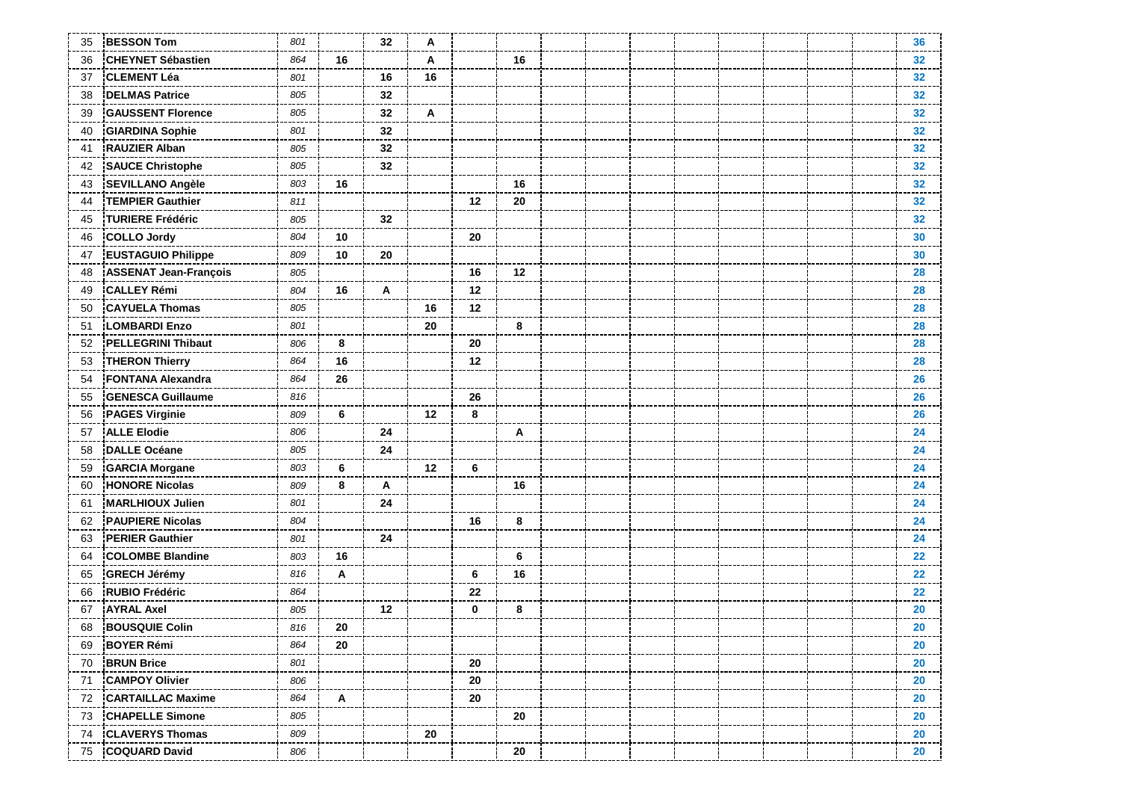| 35 | <b>BESSON Tom</b>            | 801 |    | 32 | A       |    |    |  |  |  |  | 36                |
|----|------------------------------|-----|----|----|---------|----|----|--|--|--|--|-------------------|
| 36 | <b>CHEYNET Sébastien</b>     | 864 | 16 |    | A       |    | 16 |  |  |  |  | 32                |
| 37 | <b>CLEMENT Léa</b>           | 801 |    | 16 | 16      |    |    |  |  |  |  | 32 <sub>2</sub>   |
| 38 | <b>DELMAS Patrice</b>        | 805 |    | 32 |         |    |    |  |  |  |  | 32                |
| 39 | <b>GAUSSENT Florence</b>     | 805 |    | 32 | A       |    |    |  |  |  |  | 32 <sub>2</sub>   |
| 40 | <b>GIARDINA Sophie</b>       | 801 |    | 32 |         |    |    |  |  |  |  | 32                |
| 41 | <b>RAUZIER Alban</b>         | 805 |    | 32 |         |    |    |  |  |  |  | 32                |
| 42 | <b>SAUCE Christophe</b>      | 805 |    | 32 |         |    |    |  |  |  |  | 32                |
| 43 | <b>SEVILLANO Angèle</b>      | 803 | 16 |    |         |    | 16 |  |  |  |  | 32                |
| 44 | <b>TEMPIER Gauthier</b>      | 811 |    |    |         | 12 | 20 |  |  |  |  | 32 <sub>2</sub>   |
| 45 | <b>TURIERE Frédéric</b>      | 805 |    | 32 |         |    |    |  |  |  |  | 32                |
| 46 | <b>COLLO Jordy</b>           | 804 | 10 |    |         | 20 |    |  |  |  |  | 30                |
| 47 | <b>EUSTAGUIO Philippe</b>    | 809 | 10 | 20 |         |    |    |  |  |  |  | 30                |
| 48 | <b>ASSENAT Jean-François</b> | 805 |    |    |         | 16 | 12 |  |  |  |  | 28                |
| 49 | <b>CALLEY Rémi</b>           | 804 | 16 | A  |         | 12 |    |  |  |  |  | 28                |
| 50 | <b>CAYUELA Thomas</b>        | 805 |    |    | 16      | 12 |    |  |  |  |  | 28                |
| 51 | <b>LOMBARDI Enzo</b>         | 801 |    |    | 20      |    | 8  |  |  |  |  | 28                |
| 52 | <b>PELLEGRINI Thibaut</b>    | 806 | 8  |    |         | 20 |    |  |  |  |  | 28                |
| 53 | <b>THERON Thierry</b>        | 864 | 16 |    |         | 12 |    |  |  |  |  | 28                |
| 54 | <b>FONTANA Alexandra</b>     | 864 | 26 |    |         |    |    |  |  |  |  | 26                |
| 55 | <b>GENESCA Guillaume</b>     | 816 |    |    |         | 26 |    |  |  |  |  | 26                |
| 56 | <b>PAGES Virginie</b>        | 809 | 6  |    | $12 \,$ | 8  |    |  |  |  |  | 26                |
| 57 | <b>ALLE Elodie</b>           | 806 |    | 24 |         |    | A  |  |  |  |  | 24                |
| 58 | <b>DALLE Océane</b>          | 805 |    | 24 |         |    |    |  |  |  |  | 24                |
| 59 | <b>GARCIA Morgane</b>        | 803 | 6  |    | 12      | 6  |    |  |  |  |  | 24                |
| 60 | <b>HONORE Nicolas</b>        | 809 | 8  | Α  |         |    | 16 |  |  |  |  | 24                |
| 61 | <b>MARLHIOUX Julien</b>      | 801 |    | 24 |         |    |    |  |  |  |  | 24                |
| 62 | <b>PAUPIERE Nicolas</b>      | 804 |    |    |         | 16 | 8  |  |  |  |  | 24                |
| 63 | <b>PERIER Gauthier</b>       | 801 |    | 24 |         |    |    |  |  |  |  | 24                |
| 64 | <b>COLOMBE Blandine</b>      | 803 | 16 |    |         |    | 6  |  |  |  |  | $22 \overline{ }$ |
| 65 | <b>GRECH Jérémy</b>          | 816 | Α  |    |         | 6  | 16 |  |  |  |  | $22 \,$           |
| 66 | <b>RUBIO Frédéric</b>        | 864 |    |    |         | 22 |    |  |  |  |  | $22 \,$           |
| 67 | <b>AYRAL Axel</b>            | 805 |    | 12 |         | 0  | 8  |  |  |  |  | 20                |
| 68 | <b>BOUSQUIE Colin</b>        | 816 | 20 |    |         |    |    |  |  |  |  | 20                |
| 69 | <b>BOYER Rémi</b>            | 864 | 20 |    |         |    |    |  |  |  |  | 20                |
| 70 | <b>BRUN Brice</b>            | 801 |    |    |         | 20 |    |  |  |  |  | $20\,$            |
| 71 | <b>CAMPOY Olivier</b>        | 806 |    |    |         | 20 |    |  |  |  |  | 20                |
| 72 | <b>CARTAILLAC Maxime</b>     | 864 | A  |    |         | 20 |    |  |  |  |  | 20                |
| 73 | <b>CHAPELLE Simone</b>       | 805 |    |    |         |    | 20 |  |  |  |  | 20                |
| 74 | <b>CLAVERYS Thomas</b>       | 809 |    |    | 20      |    |    |  |  |  |  | ----<br>20        |
| 75 | <b>COQUARD David</b>         | 806 |    |    |         |    | 20 |  |  |  |  | 20                |
|    |                              |     |    |    |         |    |    |  |  |  |  |                   |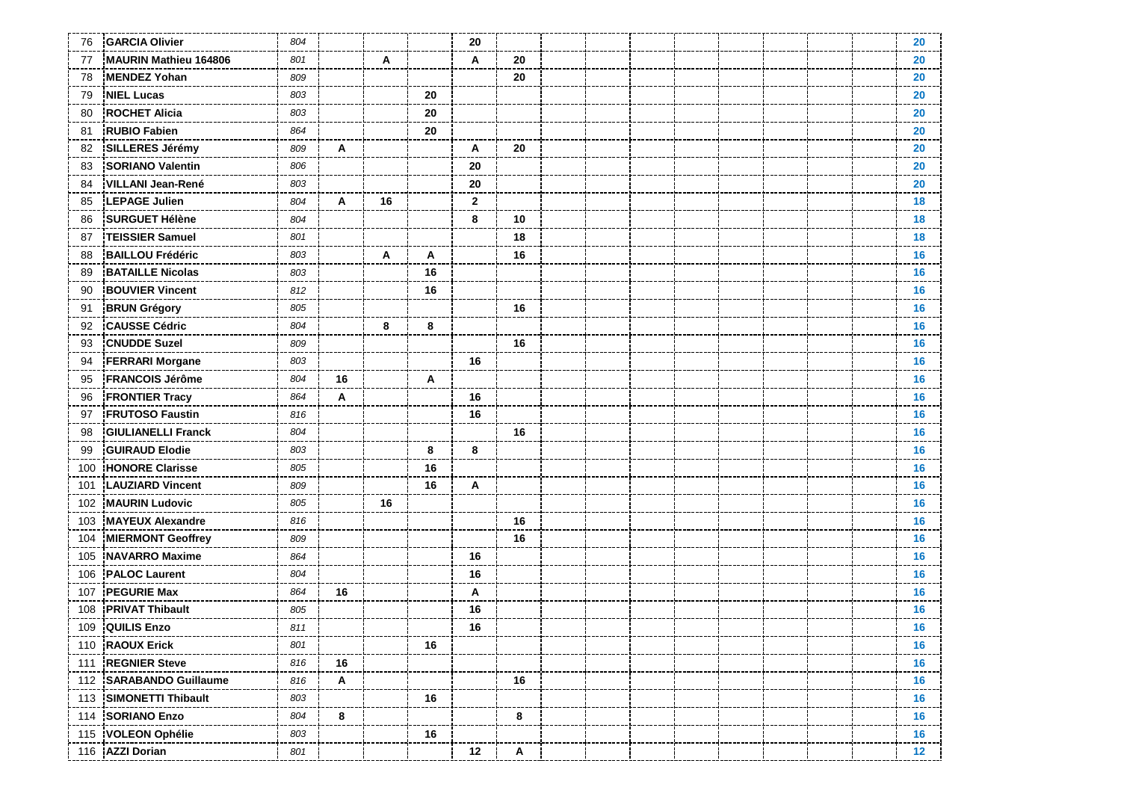| 76  | <b>GARCIA Olivier</b>     | 804 |    |    |    | 20           |    |  |  |  |  | 20              |
|-----|---------------------------|-----|----|----|----|--------------|----|--|--|--|--|-----------------|
| 77  | MAURIN Mathieu 164806     | 801 |    | A  |    | A            | 20 |  |  |  |  | 20              |
| 78  | <b>MENDEZ Yohan</b>       | 809 |    |    |    |              | 20 |  |  |  |  | 20              |
| 79  | <b>NIEL Lucas</b>         | 803 |    |    | 20 |              |    |  |  |  |  | 20              |
| 80  | <b>ROCHET Alicia</b>      | 803 |    |    | 20 |              |    |  |  |  |  | 20              |
| 81  | <b>RUBIO Fabien</b>       | 864 |    |    | 20 |              |    |  |  |  |  | 20              |
| 82  | <b>SILLERES Jérémy</b>    | 809 | Α  |    |    | A            | 20 |  |  |  |  | 20              |
| 83  | <b>SORIANO Valentin</b>   | 806 |    |    |    | 20           |    |  |  |  |  | 20              |
| 84  | <b>VILLANI Jean-René</b>  | 803 |    |    |    | 20           |    |  |  |  |  | 20              |
| 85  | <b>LEPAGE Julien</b>      | 804 | A  | 16 |    | $\mathbf{2}$ |    |  |  |  |  | 18              |
| 86  | <b>SURGUET Hélène</b>     | 804 |    |    |    | 8            | 10 |  |  |  |  | 18              |
| 87  | <b>TEISSIER Samuel</b>    | 801 |    |    |    |              | 18 |  |  |  |  | 18              |
| 88  | <b>BAILLOU Frédéric</b>   | 803 |    | A  | Α  |              | 16 |  |  |  |  | 16              |
| 89  | <b>BATAILLE Nicolas</b>   | 803 |    |    | 16 |              |    |  |  |  |  | 16              |
| 90  | <b>BOUVIER Vincent</b>    | 812 |    |    | 16 |              |    |  |  |  |  | 16              |
| 91  | <b>BRUN Grégory</b>       | 805 |    |    |    |              | 16 |  |  |  |  | 16              |
| 92  | <b>CAUSSE Cédric</b>      | 804 |    | 8  | 8  |              |    |  |  |  |  | 16              |
| 93  | <b>CNUDDE Suzel</b>       | 809 |    |    |    |              | 16 |  |  |  |  | 16              |
| 94  | <b>FERRARI Morgane</b>    | 803 |    |    |    | 16           |    |  |  |  |  | 16              |
| 95  | <b>FRANCOIS Jérôme</b>    | 804 | 16 |    | A  |              |    |  |  |  |  | 16              |
| 96  | <b>FRONTIER Tracy</b>     | 864 | Α  |    |    | 16           |    |  |  |  |  | 16              |
| 97  | <b>FRUTOSO Faustin</b>    | 816 |    |    |    | 16           |    |  |  |  |  | 16              |
| 98  | <b>GIULIANELLI Franck</b> | 804 |    |    |    |              | 16 |  |  |  |  | 16              |
| 99  | <b>GUIRAUD Elodie</b>     | 803 |    |    | 8  | 8            |    |  |  |  |  | 16              |
| 100 | <b>HONORE Clarisse</b>    | 805 |    |    | 16 |              |    |  |  |  |  | 16              |
| 101 | <b>LAUZIARD Vincent</b>   | 809 |    |    | 16 | A            |    |  |  |  |  | 16              |
| 102 | <b>MAURIN Ludovic</b>     | 805 |    | 16 |    |              |    |  |  |  |  | 16              |
| 103 | <b>MAYEUX Alexandre</b>   | 816 |    |    |    |              | 16 |  |  |  |  | 16              |
| 104 | <b>MIERMONT Geoffrey</b>  | 809 |    |    |    |              | 16 |  |  |  |  | 16              |
| 105 | <b>NAVARRO Maxime</b>     | 864 |    |    |    | 16           |    |  |  |  |  | 16              |
| 106 | <b>PALOC Laurent</b>      | 804 |    |    |    | 16           |    |  |  |  |  | 16              |
| 107 | <b>PEGURIE Max</b>        | 864 | 16 |    |    | Α            |    |  |  |  |  | 16              |
| 108 | <b>PRIVAT Thibault</b>    | 805 |    |    |    | 16           |    |  |  |  |  | 16              |
| 109 | <b>QUILIS Enzo</b>        | 811 |    |    |    | 16           |    |  |  |  |  | 16 <sup>1</sup> |
|     | 110 RAOUX Erick           | 801 |    |    | 16 |              |    |  |  |  |  | 16              |
|     | 111 REGNIER Steve         | 816 | 16 |    |    |              |    |  |  |  |  | 16              |
|     | 112 SARABANDO Guillaume   | 816 | A  |    |    |              | 16 |  |  |  |  | 16              |
|     | 113 SIMONETTI Thibault    | 803 |    |    | 16 |              |    |  |  |  |  | 16              |
|     | 114 SORIANO Enzo          | 804 | 8  |    |    |              | 8  |  |  |  |  | 16              |
|     | 115 VOLEON Ophélie        | 803 |    |    | 16 |              |    |  |  |  |  | 16              |
|     | 116 AZZI Dorian           | 801 |    |    |    | 12           | Α  |  |  |  |  | 12 <sub>2</sub> |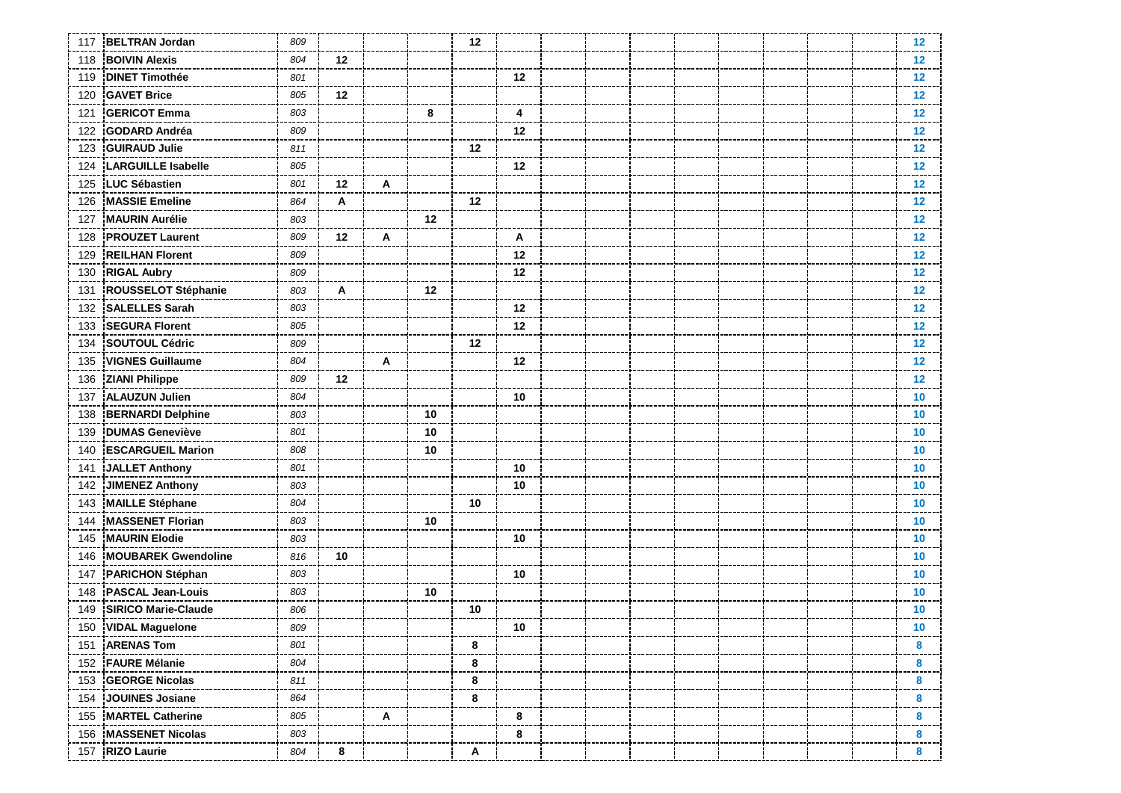| 117 | <b>BELTRAN Jordan</b>      | 809 |    |   |    | 12 |    |  |  |  |  | $12 \overline{ }$ |
|-----|----------------------------|-----|----|---|----|----|----|--|--|--|--|-------------------|
| 118 | <b>BOIVIN Alexis</b>       | 804 | 12 |   |    |    |    |  |  |  |  | 12 <sub>2</sub>   |
| 119 | <b>DINET Timothée</b>      | 801 |    |   |    |    | 12 |  |  |  |  | 12                |
| 120 | <b>GAVET Brice</b>         | 805 | 12 |   |    |    |    |  |  |  |  | 12                |
| 121 | <b>GERICOT Emma</b>        | 803 |    |   | 8  |    | 4  |  |  |  |  | 12 <sub>2</sub>   |
| 122 | <b>GODARD Andréa</b>       | 809 |    |   |    |    | 12 |  |  |  |  | 12 <sub>2</sub>   |
| 123 | <b>GUIRAUD Julie</b>       | 811 |    |   |    | 12 |    |  |  |  |  | 12 <sub>2</sub>   |
| 124 | <b>LARGUILLE Isabelle</b>  | 805 |    |   |    |    | 12 |  |  |  |  | 12 <sub>2</sub>   |
| 125 | <b>LUC Sébastien</b>       | 801 | 12 | Α |    |    |    |  |  |  |  | 12                |
| 126 | <b>MASSIE Emeline</b>      | 864 | Α  |   |    | 12 |    |  |  |  |  | $12 \,$           |
| 127 | <b>MAURIN Aurélie</b>      | 803 |    |   | 12 |    |    |  |  |  |  | 12                |
| 128 | <b>PROUZET Laurent</b>     | 809 | 12 | A |    |    | Α  |  |  |  |  | 12 <sub>2</sub>   |
| 129 | <b>REILHAN Florent</b>     | 809 |    |   |    |    | 12 |  |  |  |  | 12 <sub>2</sub>   |
| 130 | <b>RIGAL Aubry</b>         | 809 |    |   |    |    | 12 |  |  |  |  | 12 <sub>2</sub>   |
| 131 | ROUSSELOT Stéphanie        | 803 | A  |   | 12 |    |    |  |  |  |  | 12 <sub>2</sub>   |
| 132 | <b>SALELLES Sarah</b>      | 803 |    |   |    |    | 12 |  |  |  |  | 12                |
| 133 | <b>SEGURA Florent</b>      | 805 |    |   |    |    | 12 |  |  |  |  | 12 <sub>2</sub>   |
| 134 | <b>SOUTOUL Cédric</b>      | 809 |    |   |    | 12 |    |  |  |  |  | 12 <sub>2</sub>   |
| 135 | <b>VIGNES Guillaume</b>    | 804 |    | A |    |    | 12 |  |  |  |  | $12 \overline{ }$ |
| 136 | <b>ZIANI Philippe</b>      | 809 | 12 |   |    |    |    |  |  |  |  | 12 <sub>2</sub>   |
| 137 | <b>ALAUZUN Julien</b>      | 804 |    |   |    |    | 10 |  |  |  |  | 10                |
| 138 | <b>BERNARDI Delphine</b>   | 803 |    |   | 10 |    |    |  |  |  |  | 10 <sup>°</sup>   |
| 139 | <b>DUMAS Geneviève</b>     | 801 |    |   | 10 |    |    |  |  |  |  | 10                |
| 140 | <b>ESCARGUEIL Marion</b>   | 808 |    |   | 10 |    |    |  |  |  |  | 10                |
| 141 | JALLET Anthony             | 801 |    |   |    |    | 10 |  |  |  |  | 10 <sup>°</sup>   |
| 142 | <b>JIMENEZ Anthony</b>     | 803 |    |   |    |    | 10 |  |  |  |  | 10 <sup>°</sup>   |
| 143 | <b>MAILLE Stéphane</b>     | 804 |    |   |    | 10 |    |  |  |  |  | 10 <sup>°</sup>   |
| 144 | <b>MASSENET Florian</b>    | 803 |    |   | 10 |    |    |  |  |  |  | 10 <sub>1</sub>   |
| 145 | <b>MAURIN Elodie</b>       | 803 |    |   |    |    | 10 |  |  |  |  | 10 <sub>1</sub>   |
| 146 | <b>MOUBAREK Gwendoline</b> | 816 | 10 |   |    |    |    |  |  |  |  | 10 <sub>1</sub>   |
| 147 | PARICHON Stéphan           | 803 |    |   |    |    | 10 |  |  |  |  | 10 <sub>1</sub>   |
| 148 | <b>PASCAL Jean-Louis</b>   | 803 |    |   | 10 |    |    |  |  |  |  | 10 <sub>1</sub>   |
| 149 | <b>SIRICO Marie-Claude</b> | 806 |    |   |    | 10 |    |  |  |  |  | 10                |
| 150 | VIDAL Maguelone            | 809 |    |   |    |    | 10 |  |  |  |  | 10 <sup>°</sup>   |
|     | 151 ARENAS Tom             | 801 |    |   |    | 8  |    |  |  |  |  | 8                 |
|     | 152 FAURE Mélanie          | 804 |    |   |    | 8  |    |  |  |  |  | 8                 |
|     | 153 GEORGE Nicolas         | 811 |    |   |    | 8  |    |  |  |  |  | 8                 |
| 154 | JOUINES Josiane            | 864 |    |   |    | 8  |    |  |  |  |  | 8                 |
|     | 155 MARTEL Catherine       | 805 |    | Α |    |    | 8  |  |  |  |  | 8                 |
|     | 156 MASSENET Nicolas       | 803 |    |   |    |    | 8  |  |  |  |  | 8                 |
|     | 157 RIZO Laurie            | 804 | 8  |   |    | A  |    |  |  |  |  | 8                 |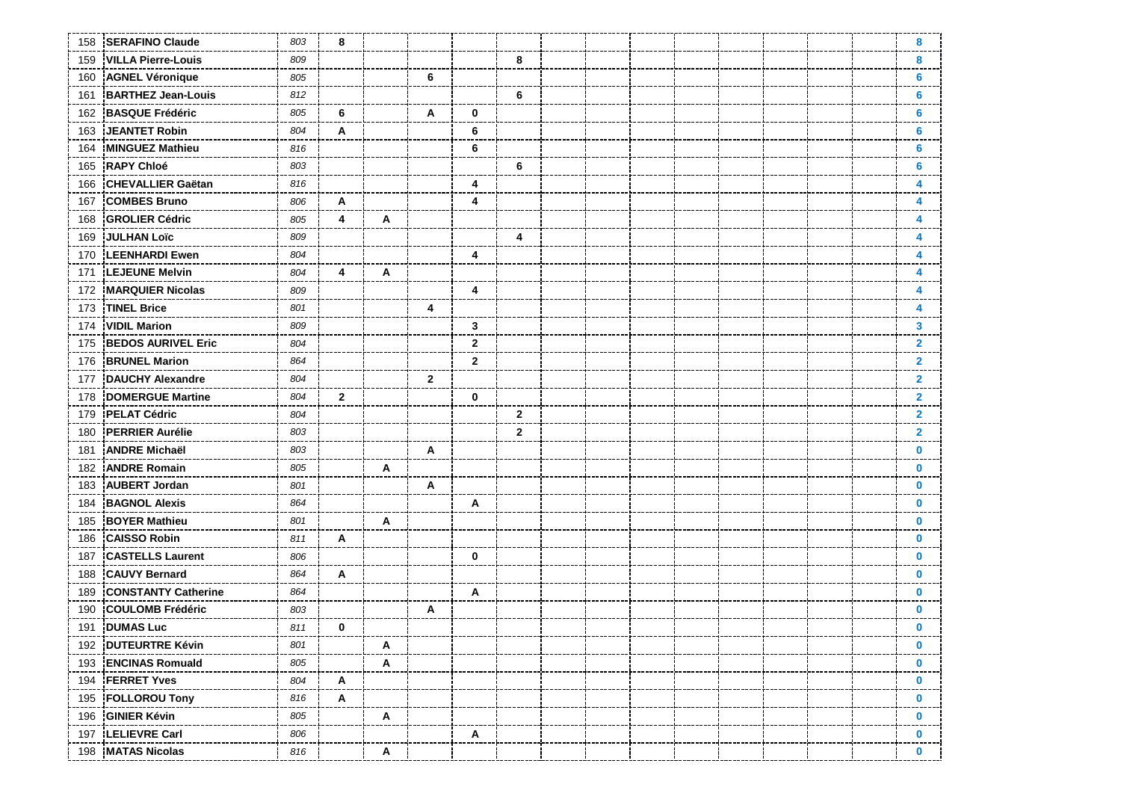| 158 | <b>SERAFINO Claude</b>     | 803 | 8            |   |                |                           |              |  |  |  |  | 8            |
|-----|----------------------------|-----|--------------|---|----------------|---------------------------|--------------|--|--|--|--|--------------|
| 159 | <b>VILLA Pierre-Louis</b>  | 809 |              |   |                |                           | 8            |  |  |  |  | 8            |
| 160 | <b>AGNEL Véronique</b>     | 805 |              |   | 6              |                           |              |  |  |  |  | 6            |
| 161 | <b>BARTHEZ Jean-Louis</b>  | 812 |              |   |                |                           | 6            |  |  |  |  | 6            |
| 162 | <b>BASQUE Frédéric</b>     | 805 | 6            |   | A              | 0                         |              |  |  |  |  | 6            |
| 163 | <b>JEANTET Robin</b>       | 804 | A            |   |                | 6                         |              |  |  |  |  | 6            |
| 164 | <b>MINGUEZ Mathieu</b>     | 816 |              |   |                | 6                         |              |  |  |  |  | 6            |
| 165 | <b>RAPY Chloé</b>          | 803 |              |   |                |                           | 6            |  |  |  |  | 6            |
| 166 | <b>CHEVALLIER Gaëtan</b>   | 816 |              |   |                | 4                         |              |  |  |  |  | Δ            |
| 167 | <b>COMBES Bruno</b>        | 806 | A            |   |                | 4                         |              |  |  |  |  | 4            |
| 168 | <b>GROLIER Cédric</b>      | 805 | 4            | A |                |                           |              |  |  |  |  | 4            |
| 169 | <b>JULHAN Loïc</b>         | 809 |              |   |                |                           | 4            |  |  |  |  | 4            |
| 170 | <b>LEENHARDI Ewen</b>      | 804 |              |   |                | 4                         |              |  |  |  |  | 4            |
| 171 | <b>LEJEUNE Melvin</b>      | 804 | 4            | A |                |                           |              |  |  |  |  | 4            |
| 172 | <b>MARQUIER Nicolas</b>    | 809 |              |   |                | 4                         |              |  |  |  |  | 4            |
| 173 | <b>TINEL Brice</b>         | 801 |              |   | 4              |                           |              |  |  |  |  | 4            |
| 174 | <b>VIDIL Marion</b>        | 809 |              |   |                | $\mathbf{3}$              |              |  |  |  |  | 3            |
| 175 | <b>BEDOS AURIVEL Eric</b>  | 804 |              |   |                | $\mathbf{2}$              |              |  |  |  |  | $\mathbf{2}$ |
| 176 | <b>BRUNEL Marion</b>       | 864 |              |   |                | $\mathbf{2}$              |              |  |  |  |  | $\mathbf{2}$ |
| 177 | <b>DAUCHY Alexandre</b>    | 804 |              |   | $\overline{2}$ |                           |              |  |  |  |  | $\mathbf{2}$ |
| 178 | <b>DOMERGUE Martine</b>    | 804 | $\mathbf{2}$ |   |                | $\mathbf 0$               |              |  |  |  |  | $\mathbf{2}$ |
| 179 | <b>PELAT Cédric</b>        | 804 |              |   |                |                           | $\mathbf{2}$ |  |  |  |  | $\mathbf{2}$ |
| 180 | <b>PERRIER Aurélie</b>     | 803 |              |   |                |                           | $\mathbf{2}$ |  |  |  |  | $\mathbf{2}$ |
| 181 | <b>ANDRE Michaël</b>       | 803 |              |   | A              |                           |              |  |  |  |  | $\bf{0}$     |
| 182 | <b>ANDRE Romain</b>        | 805 |              | A |                |                           |              |  |  |  |  | $\bf{0}$     |
| 183 | <b>AUBERT Jordan</b>       | 801 |              |   | Α              |                           |              |  |  |  |  | $\bf{0}$     |
| 184 | <b>BAGNOL Alexis</b>       | 864 |              |   |                | Α                         |              |  |  |  |  | $\bf{0}$     |
| 185 | <b>BOYER Mathieu</b>       | 801 |              | A |                |                           |              |  |  |  |  | $\bf{0}$     |
| 186 | <b>CAISSO Robin</b>        | 811 | A            |   |                |                           |              |  |  |  |  | $\bf{0}$     |
| 187 | <b>CASTELLS Laurent</b>    | 806 |              |   |                | $\mathbf 0$               |              |  |  |  |  | $\mathbf 0$  |
| 188 | <b>CAUVY Bernard</b>       | 864 | Α            |   |                |                           |              |  |  |  |  | $\bf{0}$     |
| 189 | <b>CONSTANTY Catherine</b> | 864 |              |   |                | A                         |              |  |  |  |  | $\bf{0}$     |
| 190 | <b>COULOMB Frédéric</b>    | 803 |              |   | A              |                           |              |  |  |  |  | $\bf{0}$     |
| 191 | <b>DUMAS Luc</b>           | 811 | $\mathbf 0$  |   |                |                           |              |  |  |  |  | $\bf{0}$     |
|     | 192 DUTEURTRE Kévin        | 801 |              | A |                |                           |              |  |  |  |  | $\mathbf 0$  |
|     | 193 ENCINAS Romuald        | 805 |              | A |                |                           |              |  |  |  |  | $\bf{0}$     |
|     | 194 FERRET Yves            | 804 | A            |   |                |                           |              |  |  |  |  | $\bf{0}$     |
|     | 195 FOLLOROU Tony          | 816 | A            |   |                |                           |              |  |  |  |  | $\bf{0}$     |
|     | 196 GINIER Kévin           | 805 |              | A |                |                           |              |  |  |  |  | $\mathbf 0$  |
|     | 197 LELIEVRE Carl          | 806 |              |   |                | $\boldsymbol{\mathsf{A}}$ |              |  |  |  |  | $\mathbf 0$  |
|     | 198 MATAS Nicolas          | 816 |              | Α |                |                           |              |  |  |  |  | $\mathbf 0$  |